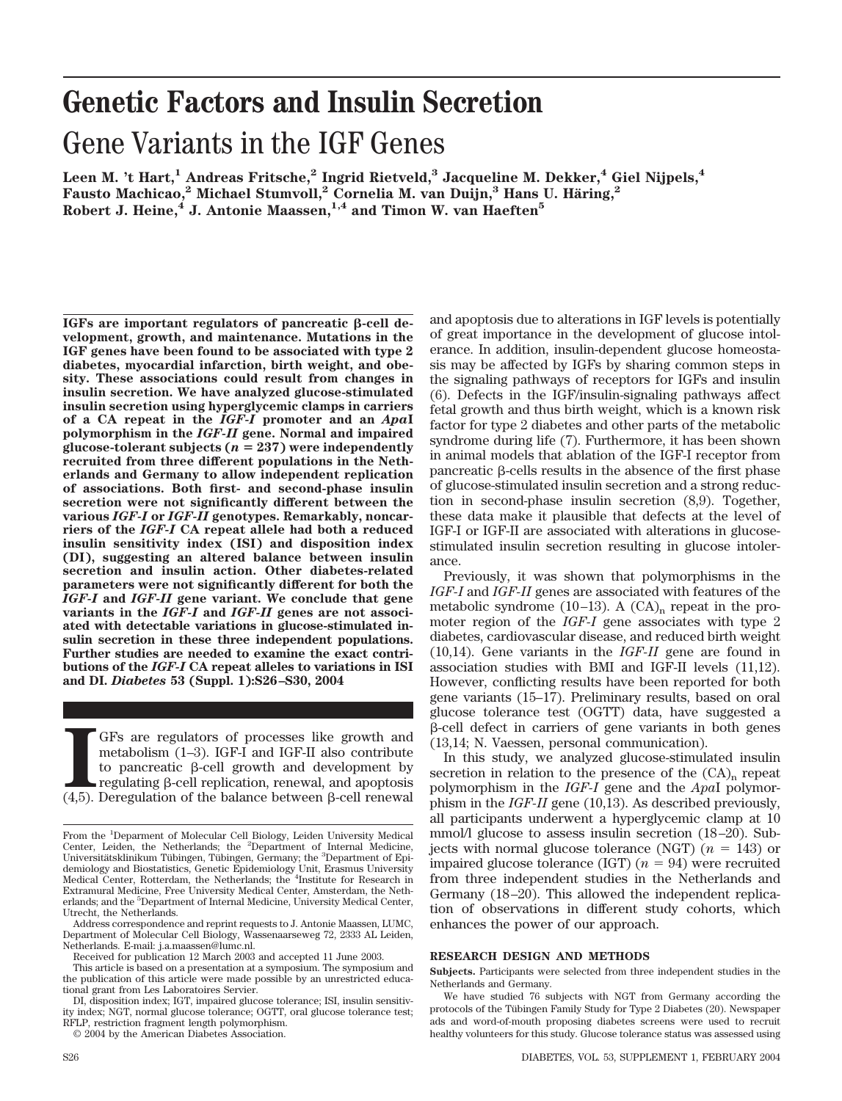# **Genetic Factors and Insulin Secretion** Gene Variants in the IGF Genes

Leen M. 't Hart,<sup>1</sup> Andreas Fritsche,<sup>2</sup> Ingrid Rietveld,<sup>3</sup> Jacqueline M. Dekker,<sup>4</sup> Giel Nijpels,<sup>4</sup> **Fausto Machicao,2 Michael Stumvoll,2 Cornelia M. van Duijn,3 Hans U. Ha¨ring,2**  $R$ obert J. Heine,<sup>4</sup> J. Antonie Maassen,<sup>1,4</sup> and Timon W. van Haeften<sup>5</sup>

IGFs are important regulators of pancreatic  $\beta$ -cell de**velopment, growth, and maintenance. Mutations in the IGF genes have been found to be associated with type 2 diabetes, myocardial infarction, birth weight, and obesity. These associations could result from changes in insulin secretion. We have analyzed glucose-stimulated insulin secretion using hyperglycemic clamps in carriers of a CA repeat in the** *IGF-I* **promoter and an** *Apa***I polymorphism in the** *IGF-II* **gene. Normal and impaired**  $glucose-tolerant$  subjects  $(n = 237)$  were independently **recruited from three different populations in the Netherlands and Germany to allow independent replication of associations. Both first- and second-phase insulin secretion were not significantly different between the various** *IGF-I* **or** *IGF-II* **genotypes. Remarkably, noncarriers of the** *IGF-I* **CA repeat allele had both a reduced insulin sensitivity index (ISI) and disposition index (DI), suggesting an altered balance between insulin secretion and insulin action. Other diabetes-related parameters were not significantly different for both the** *IGF-I* **and** *IGF-II* **gene variant. We conclude that gene variants in the** *IGF-I* **and** *IGF-II* **genes are not associated with detectable variations in glucose-stimulated insulin secretion in these three independent populations. Further studies are needed to examine the exact contributions of the** *IGF-I* **CA repeat alleles to variations in ISI and DI.** *Diabetes* **53 (Suppl. 1):S26–S30, 2004**

GFs are regulators of processes like growth and metabolism (1–3). IGF-I and IGF-II also contribute to pancreatic  $\beta$ -cell growth and development by regulating  $\beta$ -cell replication, renewal, and apoptosis (4,5). Deregula GFs are regulators of processes like growth and metabolism (1–3). IGF-I and IGF-II also contribute to pancreatic  $\beta$ -cell growth and development by  $regulating \beta-cell replication, renewal, and apoptosis$ 

© 2004 by the American Diabetes Association.

and apoptosis due to alterations in IGF levels is potentially of great importance in the development of glucose intolerance. In addition, insulin-dependent glucose homeostasis may be affected by IGFs by sharing common steps in the signaling pathways of receptors for IGFs and insulin (6). Defects in the IGF/insulin-signaling pathways affect fetal growth and thus birth weight, which is a known risk factor for type 2 diabetes and other parts of the metabolic syndrome during life (7). Furthermore, it has been shown in animal models that ablation of the IGF-I receptor from pancreatic  $\beta$ -cells results in the absence of the first phase of glucose-stimulated insulin secretion and a strong reduction in second-phase insulin secretion (8,9). Together, these data make it plausible that defects at the level of IGF-I or IGF-II are associated with alterations in glucosestimulated insulin secretion resulting in glucose intolerance.

Previously, it was shown that polymorphisms in the *IGF-I* and *IGF-II* genes are associated with features of the metabolic syndrome (10–13). A  $(CA)$ <sub>n</sub> repeat in the promoter region of the *IGF-I* gene associates with type 2 diabetes, cardiovascular disease, and reduced birth weight (10,14). Gene variants in the *IGF-II* gene are found in association studies with BMI and IGF-II levels (11,12). However, conflicting results have been reported for both gene variants (15–17). Preliminary results, based on oral glucose tolerance test (OGTT) data, have suggested a  $\beta$ -cell defect in carriers of gene variants in both genes (13,14; N. Vaessen, personal communication).

In this study, we analyzed glucose-stimulated insulin secretion in relation to the presence of the  $(CA)$ <sub>n</sub> repeat polymorphism in the *IGF-I* gene and the *Apa*I polymorphism in the *IGF-II* gene (10,13). As described previously, all participants underwent a hyperglycemic clamp at 10 mmol/l glucose to assess insulin secretion (18–20). Sub- $\text{jets with normal glucose tolerance (NGT)} (n = 143) \text{ or }$ impaired glucose tolerance  $(IGT)$   $(n = 94)$  were recruited from three independent studies in the Netherlands and Germany (18–20). This allowed the independent replication of observations in different study cohorts, which enhances the power of our approach.

### **RESEARCH DESIGN AND METHODS**

**Subjects.** Participants were selected from three independent studies in the Netherlands and Germany.

From the <sup>1</sup>Deparment of Molecular Cell Biology, Leiden University Medical Center, Leiden, the Netherlands; the <sup>2</sup>Department of Internal Medicine,<br>Universitätsklinikum Tübingen, Tübingen, Germany; the <sup>3</sup>Department of Epidemiology and Biostatistics, Genetic Epidemiology Unit, Erasmus University Medical Center, Rotterdam, the Netherlands; the <sup>4</sup>Institute for Research in Extramural Medicine, Free University Medical Center, Amsterdam, the Netherlands; and the <sup>5</sup>Department of Internal Medicine, University Medical Center, Utrecht, the Netherlands.

Address correspondence and reprint requests to J. Antonie Maassen, LUMC, Department of Molecular Cell Biology, Wassenaarseweg 72, 2333 AL Leiden, Netherlands. E-mail: j.a.maassen@lumc.nl.

Received for publication 12 March 2003 and accepted 11 June 2003.

This article is based on a presentation at a symposium. The symposium and the publication of this article were made possible by an unrestricted educational grant from Les Laboratoires Servier.

DI, disposition index; IGT, impaired glucose tolerance; ISI, insulin sensitivity index; NGT, normal glucose tolerance; OGTT, oral glucose tolerance test; RFLP, restriction fragment length polymorphism.

We have studied 76 subjects with NGT from Germany according the protocols of the Tübingen Family Study for Type 2 Diabetes (20). Newspaper ads and word-of-mouth proposing diabetes screens were used to recruit healthy volunteers for this study. Glucose tolerance status was assessed using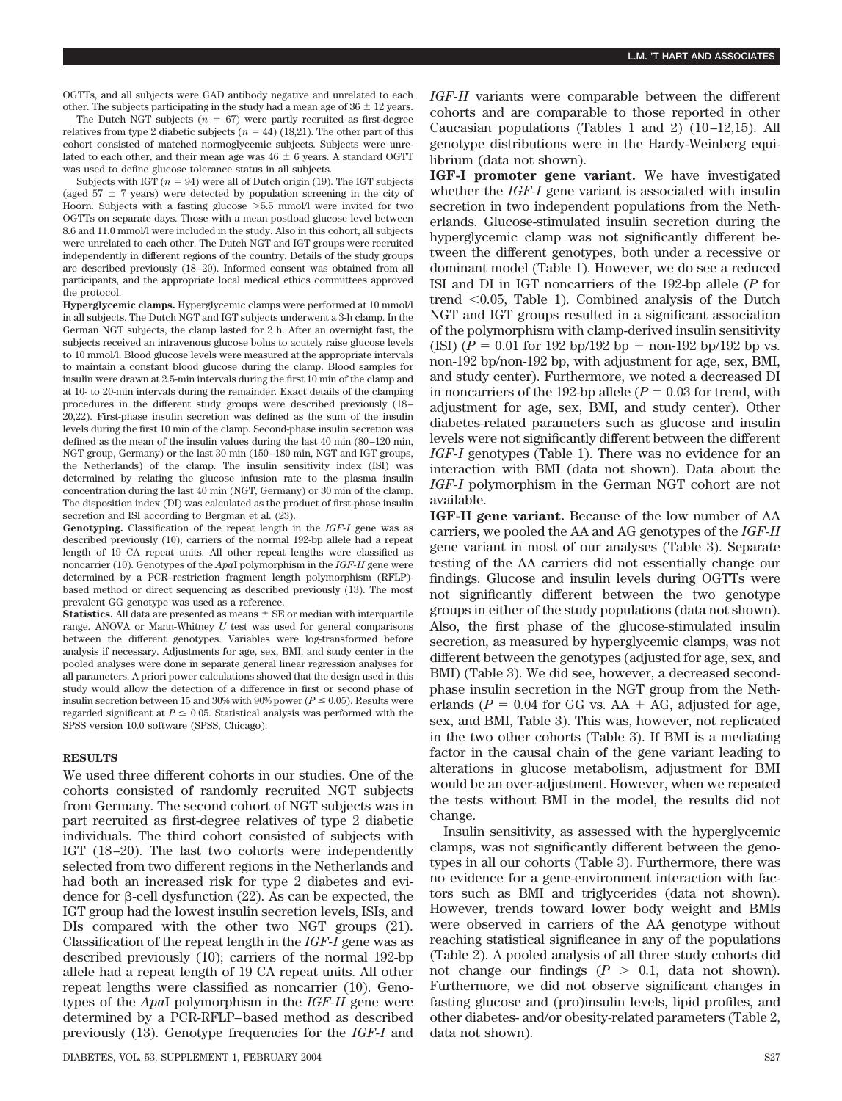OGTTs, and all subjects were GAD antibody negative and unrelated to each other. The subjects participating in the study had a mean age of  $36 \pm 12$  years.

The Dutch NGT subjects  $(n = 67)$  were partly recruited as first-degree relatives from type 2 diabetic subjects  $(n = 44)$  (18,21). The other part of this cohort consisted of matched normoglycemic subjects. Subjects were unrelated to each other, and their mean age was  $46 \pm 6$  years. A standard OGTT was used to define glucose tolerance status in all subjects.

Subjects with IGT  $(n = 94)$  were all of Dutch origin  $(19)$ . The IGT subjects (aged  $57 \pm 7$  years) were detected by population screening in the city of Hoorn. Subjects with a fasting glucose  $>5.5$  mmol/l were invited for two OGTTs on separate days. Those with a mean postload glucose level between 8.6 and 11.0 mmol/l were included in the study. Also in this cohort, all subjects were unrelated to each other. The Dutch NGT and IGT groups were recruited independently in different regions of the country. Details of the study groups are described previously (18–20). Informed consent was obtained from all participants, and the appropriate local medical ethics committees approved the protocol.

**Hyperglycemic clamps.** Hyperglycemic clamps were performed at 10 mmol/l in all subjects. The Dutch NGT and IGT subjects underwent a 3-h clamp. In the German NGT subjects, the clamp lasted for 2 h. After an overnight fast, the subjects received an intravenous glucose bolus to acutely raise glucose levels to 10 mmol/l. Blood glucose levels were measured at the appropriate intervals to maintain a constant blood glucose during the clamp. Blood samples for insulin were drawn at 2.5-min intervals during the first 10 min of the clamp and at 10- to 20-min intervals during the remainder. Exact details of the clamping procedures in the different study groups were described previously (18– 20,22). First-phase insulin secretion was defined as the sum of the insulin levels during the first 10 min of the clamp. Second-phase insulin secretion was defined as the mean of the insulin values during the last 40 min (80–120 min, NGT group, Germany) or the last 30 min (150–180 min, NGT and IGT groups, the Netherlands) of the clamp. The insulin sensitivity index (ISI) was determined by relating the glucose infusion rate to the plasma insulin concentration during the last 40 min (NGT, Germany) or 30 min of the clamp. The disposition index (DI) was calculated as the product of first-phase insulin secretion and ISI according to Bergman et al.  $(23)$ .

**Genotyping.** Classification of the repeat length in the *IGF-I* gene was as described previously (10); carriers of the normal 192-bp allele had a repeat length of 19 CA repeat units. All other repeat lengths were classified as noncarrier (10). Genotypes of the *Apa*I polymorphism in the *IGF-II* gene were determined by a PCR–restriction fragment length polymorphism (RFLP) based method or direct sequencing as described previously (13). The most prevalent GG genotype was used as a reference.

**Statistics.** All data are presented as means  $\pm$  SE or median with interquartile range. ANOVA or Mann-Whitney *U* test was used for general comparisons between the different genotypes. Variables were log-transformed before analysis if necessary. Adjustments for age, sex, BMI, and study center in the pooled analyses were done in separate general linear regression analyses for all parameters. A priori power calculations showed that the design used in this study would allow the detection of a difference in first or second phase of insulin secretion between 15 and 30% with 90% power ( $P \le 0.05$ ). Results were regarded significant at  $P \leq 0.05$ . Statistical analysis was performed with the SPSS version 10.0 software (SPSS, Chicago).

#### **RESULTS**

We used three different cohorts in our studies. One of the cohorts consisted of randomly recruited NGT subjects from Germany. The second cohort of NGT subjects was in part recruited as first-degree relatives of type 2 diabetic individuals. The third cohort consisted of subjects with IGT (18–20). The last two cohorts were independently selected from two different regions in the Netherlands and had both an increased risk for type 2 diabetes and evidence for  $\beta$ -cell dysfunction (22). As can be expected, the IGT group had the lowest insulin secretion levels, ISIs, and DIs compared with the other two NGT groups (21). Classification of the repeat length in the *IGF-I* gene was as described previously (10); carriers of the normal 192-bp allele had a repeat length of 19 CA repeat units. All other repeat lengths were classified as noncarrier (10). Genotypes of the *Apa*I polymorphism in the *IGF-II* gene were determined by a PCR-RFLP–based method as described previously (13). Genotype frequencies for the *IGF-I* and *IGF-II* variants were comparable between the different cohorts and are comparable to those reported in other Caucasian populations (Tables 1 and 2) (10–12,15). All genotype distributions were in the Hardy-Weinberg equilibrium (data not shown).

**IGF-I promoter gene variant.** We have investigated whether the *IGF-I* gene variant is associated with insulin secretion in two independent populations from the Netherlands. Glucose-stimulated insulin secretion during the hyperglycemic clamp was not significantly different between the different genotypes, both under a recessive or dominant model (Table 1). However, we do see a reduced ISI and DI in IGT noncarriers of the 192-bp allele (*P* for trend  $0.05$ , Table 1). Combined analysis of the Dutch NGT and IGT groups resulted in a significant association of the polymorphism with clamp-derived insulin sensitivity  $(ISI)$   $(P = 0.01$  for 192 bp/192 bp + non-192 bp/192 bp vs. non-192 bp/non-192 bp, with adjustment for age, sex, BMI, and study center). Furthermore, we noted a decreased DI in noncarriers of the 192-bp allele  $(P = 0.03$  for trend, with adjustment for age, sex, BMI, and study center). Other diabetes-related parameters such as glucose and insulin levels were not significantly different between the different *IGF-I* genotypes (Table 1). There was no evidence for an interaction with BMI (data not shown). Data about the *IGF-I* polymorphism in the German NGT cohort are not available.

**IGF-II gene variant.** Because of the low number of AA carriers, we pooled the AA and AG genotypes of the *IGF-II* gene variant in most of our analyses (Table 3). Separate testing of the AA carriers did not essentially change our findings. Glucose and insulin levels during OGTTs were not significantly different between the two genotype groups in either of the study populations (data not shown). Also, the first phase of the glucose-stimulated insulin secretion, as measured by hyperglycemic clamps, was not different between the genotypes (adjusted for age, sex, and BMI) (Table 3). We did see, however, a decreased secondphase insulin secretion in the NGT group from the Netherlands ( $P = 0.04$  for GG vs. AA  $+$  AG, adjusted for age, sex, and BMI, Table 3). This was, however, not replicated in the two other cohorts (Table 3). If BMI is a mediating factor in the causal chain of the gene variant leading to alterations in glucose metabolism, adjustment for BMI would be an over-adjustment. However, when we repeated the tests without BMI in the model, the results did not change.

Insulin sensitivity, as assessed with the hyperglycemic clamps, was not significantly different between the genotypes in all our cohorts (Table 3). Furthermore, there was no evidence for a gene-environment interaction with factors such as BMI and triglycerides (data not shown). However, trends toward lower body weight and BMIs were observed in carriers of the AA genotype without reaching statistical significance in any of the populations (Table 2). A pooled analysis of all three study cohorts did not change our findings  $(P > 0.1$ , data not shown). Furthermore, we did not observe significant changes in fasting glucose and (pro)insulin levels, lipid profiles, and other diabetes- and/or obesity-related parameters (Table 2, data not shown).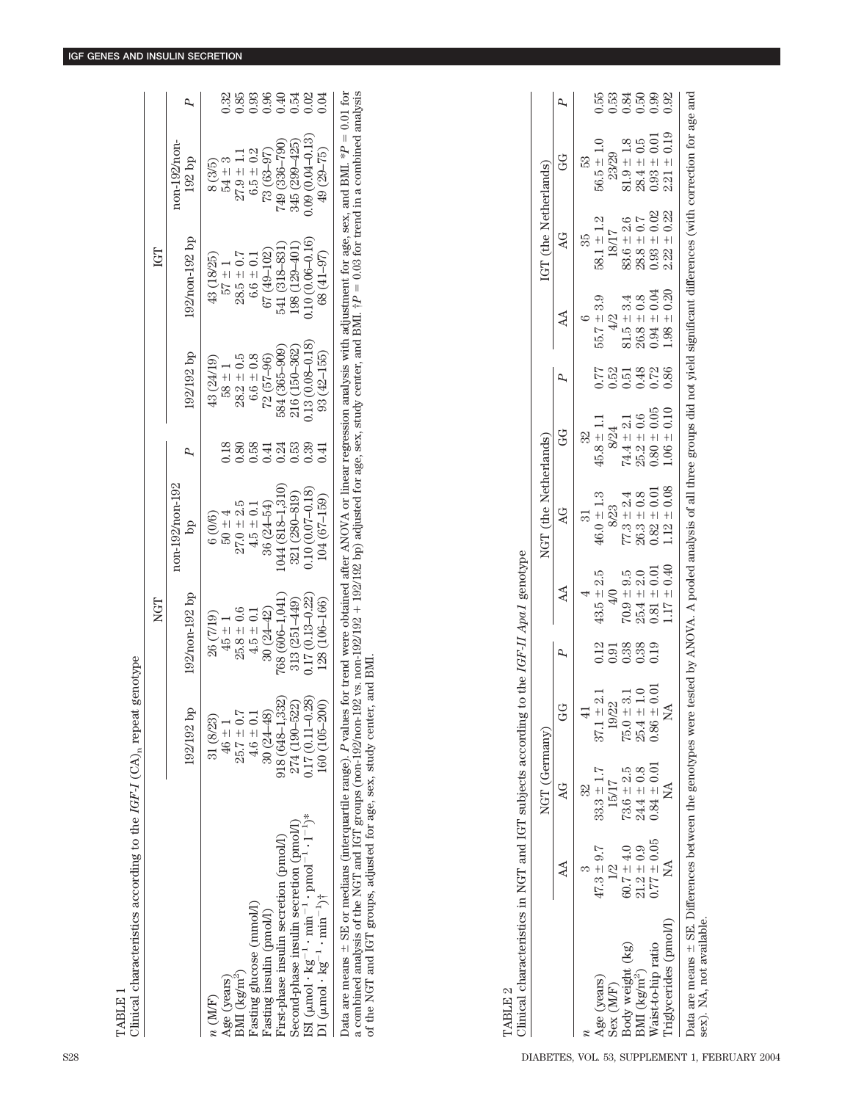|                                                                                                                                                                                                                                                                                                                                                                                                                                                              |                              | NGT                    |                              |              |                          | IGT                                  |                              |                  |
|--------------------------------------------------------------------------------------------------------------------------------------------------------------------------------------------------------------------------------------------------------------------------------------------------------------------------------------------------------------------------------------------------------------------------------------------------------------|------------------------------|------------------------|------------------------------|--------------|--------------------------|--------------------------------------|------------------------------|------------------|
|                                                                                                                                                                                                                                                                                                                                                                                                                                                              | 192/192 bp                   | $192/n$ on- $192$ bp   | non-192/non-192<br><u>bp</u> |              | 192/192 bp               | 192/non-192 bp                       | non-192/non-<br>$192$ bp     |                  |
| n(M/F)                                                                                                                                                                                                                                                                                                                                                                                                                                                       | 31 (8/23)                    | 26 (7/19)              | 6(0/6)                       |              | 43 (24/19)               | 43 (18/25)                           | 8(3/5)                       |                  |
| BMI (kg/m <sup>2</sup> )<br>Age (years)                                                                                                                                                                                                                                                                                                                                                                                                                      | $25.7 \pm 0.7$<br>$46 \pm 1$ | $25.8 \pm 0.6$<br>$+5$ | $27.0 + 2.5$<br>$50 \pm 4$   | 0.18<br>0.80 | $28.2 \pm 0.5$<br>$58 +$ | $28.5 \pm 0.7$<br>$\frac{1}{2}$ + 22 | $27.9 \pm 1.1$<br>$54 \pm 3$ | 0.32<br>0.85     |
| Fasting glucose (mmol/l)                                                                                                                                                                                                                                                                                                                                                                                                                                     | $4.6 \pm 0.1$                | $4.5 \pm 0.1$          | $4.5 \pm 0.1$                | 0.58         | $6.6 \pm 0.8$            | $6.6 \pm 0.1$                        | $6.5 \pm 0.2$                | 0.93             |
| Fasting insulin (pmol/l)                                                                                                                                                                                                                                                                                                                                                                                                                                     | $30(24 - 48)$                | $30(24 - 42)$          | $36(24 - 54)$                | 0.41         | $72(57-96)$              | 67 (49–102                           | $73(63 - 97)$                | 0.96             |
| First-phase insulin secretion (pmol/l)                                                                                                                                                                                                                                                                                                                                                                                                                       | $918(648 - 1,332)$           | 768 (606-1,041)        | 1044 (818–1,310)             | 0.24         | 584 (365–909)            | 541 (318–831                         | 749 (336–790)                | 0.40             |
| Second-phase insulin secretion (pmol/l)                                                                                                                                                                                                                                                                                                                                                                                                                      | 274 (190-522)                | $313(251 - 449)$       | $321(280 - 819)$             | 0.53         | 216 (150-362)            | 198 (129-401)                        | $345(299 - 425)$             |                  |
| ISI ( $\mu$ mol·kg <sup>-1</sup> ·min <sup>-1</sup> ·pmol <sup>-1</sup> ·l <sup>-1</sup> ) <sup>*</sup>                                                                                                                                                                                                                                                                                                                                                      | $0.17(0.11 - 0.28)$          | $0.17(0.13 - 0.22)$    | $0.10(0.07 - 0.18)$          | 0.39         | $0.13(0.08 - 0.18)$      | $0.10(0.06 - 0.16)$                  | $0.09(0.04 - 0.13)$          | $0.54$<br>$0.02$ |
| DI ( $\mu$ mol · $\text{kg}^{-1}$ · $\text{min}^{-1}$ )†                                                                                                                                                                                                                                                                                                                                                                                                     | 160 (105-200)                | 128 (106-166)          | $104(67-159)$                | ).41         | $93(42 - 155)$           | 68 (41-97)                           | 49 (29–75)                   | 0.04             |
| Data are means $\pm$ SE or medians (interquartile range). P values for trend were obtained after ANOVA or linear regression analysis with adjustment for age, sex, and BMI. *P = 0.01 for<br>a combined analysis of the NGT and IGT groups (non-192/non-192/non-192 ss. non-192/192 bp) adjusted for age, sex, study center, and BMI. $\dagger P = 0.03$ for trend in a combined analysis<br>of the NGT and IGT groups, adjusted for age, sex, study center, |                              | and BMI                |                              |              |                          |                                      |                              |                  |
|                                                                                                                                                                                                                                                                                                                                                                                                                                                              |                              |                        |                              |              |                          |                                      |                              |                  |

|                         |                 | NGT (Germany)   |                                  |          |                 | NGT (the Netherlands)                                                         |                 |                                                          |                                   | IGT (the Netherlands) |                                                                                                |                  |
|-------------------------|-----------------|-----------------|----------------------------------|----------|-----------------|-------------------------------------------------------------------------------|-----------------|----------------------------------------------------------|-----------------------------------|-----------------------|------------------------------------------------------------------------------------------------|------------------|
|                         | $\Delta$        |                 | Ğ                                |          | $\Delta$        | $\overline{A}$                                                                | Ğ               |                                                          | $\Delta$                          |                       | 9<br>G                                                                                         |                  |
|                         |                 | 32              |                                  |          |                 | ವ                                                                             | 32              |                                                          |                                   | 35                    | B3                                                                                             |                  |
| Age (years)             | $47.3 + 9.7$    | $33.3 \pm 1.7$  | $37.1 \pm 2.1$                   |          | $43.5 \pm 2.5$  | $46.0 \pm 1.3$                                                                | $45.8 \pm 1.1$  | 0.77                                                     | $55.7 \pm 3.9$                    | $58.1 \pm 1.2$        | $56.5 \pm 1.0$                                                                                 |                  |
| Sex (M/F)               | 1/2             | 15/17           | 19/22                            |          | $\frac{4}{0}$   | 8/23                                                                          | 8/24            | 0.52                                                     | $\frac{2}{4}$                     | 18/17                 | 23/29                                                                                          |                  |
| Body weight (kg)        | $60.7 \pm 4.0$  | $73.6 \pm 2.5$  |                                  |          | $70.9 + 9.5$    | $77.3 = 2.4$                                                                  | $74.4 \pm 2.1$  |                                                          | $81.5 \pm 3.4$                    | $83.6 \pm 2.6$        |                                                                                                |                  |
| BMI ( $\text{kg/m}^2$ ) | $21.2 \pm 0.9$  | $24.4 \pm 0.8$  | $75.0 \pm 3.1$<br>$25.4 \pm 1.0$ | 23.38839 | $25.4 \pm 2.0$  |                                                                               | $25.2 \pm 0.6$  | $\begin{array}{c}\n 548 \\ 0.000 \\ 0.000\n \end{array}$ | $26.8 \pm 0.8$<br>0.94 $\pm$ 0.04 | $28.8 \pm 0.7$        | $\begin{array}{c} 81.9 \pm 1.8 \\ 28.4 \pm 0.5 \\ 0.93 \pm 0.01 \\ 0.321 \pm 0.19 \end{array}$ | 533533<br>635533 |
| Waist-to-hip ratio      | $0.77 \pm 0.05$ | $0.84 \pm 0.01$ | $0.86 \pm 0.01$                  |          | $0.81 \pm 0.01$ | $\begin{array}{c} 26.3 \pm 0.8 \\ 0.82 \pm 0.01 \\ 1.12 \pm 0.08 \end{array}$ | $0.80 \pm 0.05$ |                                                          |                                   | $0.93 \pm 0.02$       |                                                                                                |                  |
| Triglycerides (pmol/l)  | X               | $\frac{1}{2}$   | NA                               |          | $1.17 \pm 0.40$ |                                                                               | $1.06 \pm 0.10$ |                                                          | $1.98 \pm 0.20$                   | $2.22 \pm 0.22$       |                                                                                                |                  |

TABLE 2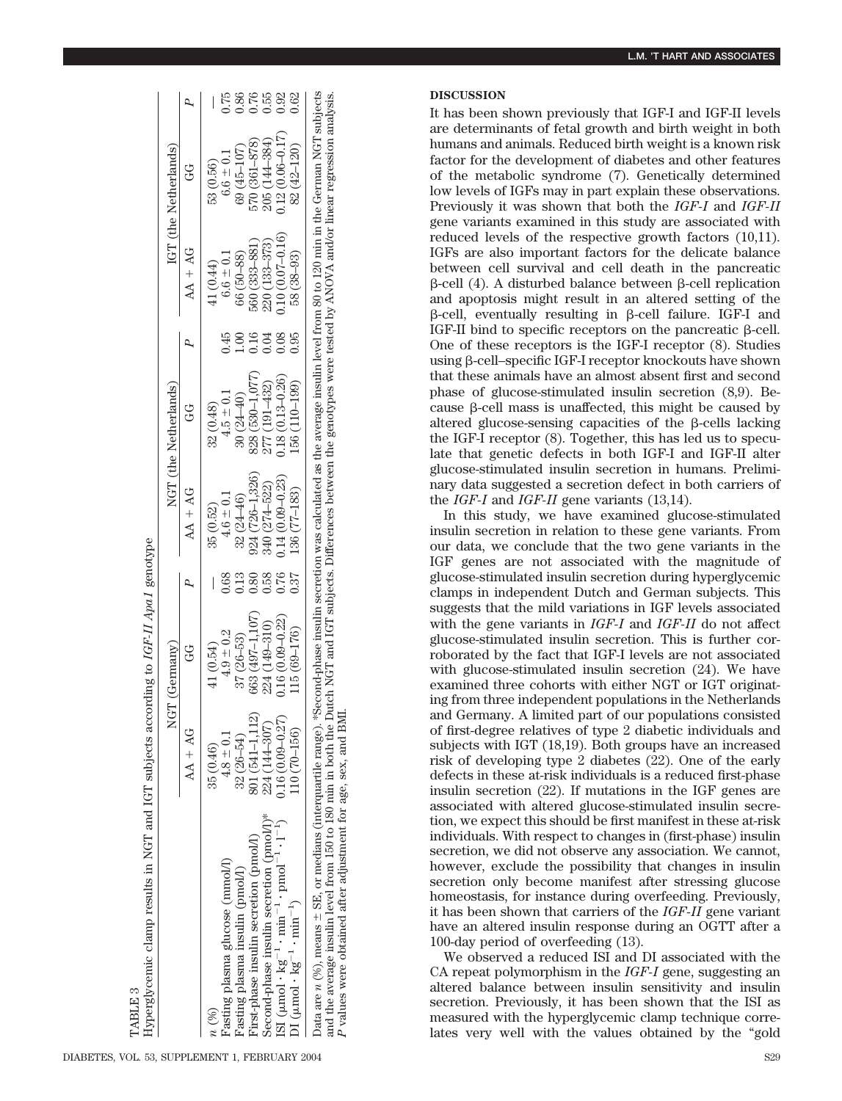|                                                                                            | NGT                 | (Gernany)           |                |                     | NGT (the Netherlands) |                           |                   | IGT (the Netherlands) |              |
|--------------------------------------------------------------------------------------------|---------------------|---------------------|----------------|---------------------|-----------------------|---------------------------|-------------------|-----------------------|--------------|
|                                                                                            | $AA + AG$           | G                   |                | $AA + AG$           | G                     |                           | $AA + AG$         | Ğ                     |              |
| $\imath$ (%)                                                                               | 35 (0.46)           | 41 (0.54)           |                | 35 (0.52)           | 32(0.48)              |                           | 41 (0.44)         | 53 (0.56)             |              |
| Fasting plasma glucose (mmol/l)                                                            | $4.8 \pm 0.1$       | $4.9 \pm 0.2$       | 0.68           | $4.6 \pm 0.1$       | $4.5 \pm 0.1$         | $-45$                     | $6.6 \pm 0.1$     | $6.6 \pm 0.1$         | 0.75         |
| Fasting plasma insulin (pmol/l)                                                            | $32(26-54)$         | $37(26 - 53)$       | 3<br>3         | $32(24 - 46)$       | $30(24 - 40)$         | $\widetilde{\mathrm{SO}}$ | 66 (50–88)        | 69 (45-107)           | 0.86         |
| First-phase insulin secretion (pmol/l)                                                     | 801 (541–1,112)     | 663 (497-1,107)     | $\frac{80}{2}$ | $924(726 - 1,326)$  | 828 (530-1,077)       | 0.16                      | 560 (333-881)     | 570 (361-878)         |              |
| Second-phase insulin secretion (pmol/l)*                                                   | 224 (144-307)       | 224 (149-310)       | 0.58           | 340 (274-522)       | 277 (191-432)         | 1.04                      | $220(133 - 373)$  | 205 (144-384)         |              |
| ISI ( $\mu$ mol·kg <sup>-1</sup> ·min <sup>-1</sup> ·pmol <sup>-1</sup> ·l <sup>-1</sup> ) | $0.16(0.09 - 0.27)$ | $0.16(0.09 - 0.22)$ | 0.76           | $0.14(0.09 - 0.23)$ | $0.18(0.13 - 0.26)$   | 0.08                      | $0.10(0.07-0.16)$ | $0.12(0.06 - 0.17)$   | 0.55<br>0.62 |
| DI ( $\mu$ mol· $k\bar{g}^{-1}$ ·min <sup>-1</sup> )                                       | $(10(70-156))$      | 115 (69-176)        | 0.37           | 136 (77-183)        | 156 (110-199)         | 0.95                      | 58 (38-93)        | 82 (42-120)           | 0.62         |

*P* values were obtained after adjustment for age, sex, and BMI.

values were obtained after adjustment for age, sex, and BMI

က TABLE:

## **DISCUSSION**

It has been shown previously that IGF-I and IGF-II levels are determinants of fetal growth and birth weight in both humans and animals. Reduced birth weight is a known risk factor for the development of diabetes and other features of the metabolic syndrome (7). Genetically determined low levels of IGFs may in part explain these observations. Previously it was shown that both the *IGF-I* and *IGF-II* gene variants examined in this study are associated with reduced levels of the respective growth factors (10,11). IGFs are also important factors for the delicate balance between cell survival and cell death in the pancreatic  $\beta$ -cell (4). A disturbed balance between  $\beta$ -cell replication and apoptosis might result in an altered setting of the  $\beta$ -cell, eventually resulting in  $\beta$ -cell failure. IGF-I and IGF-II bind to specific receptors on the pancreatic  $\beta$ -cell. One of these receptors is the IGF-I receptor (8). Studies using  $\beta$ -cell–specific IGF-I receptor knockouts have shown that these animals have an almost absent first and second phase of glucose-stimulated insulin secretion (8,9). Because  $\beta$ -cell mass is unaffected, this might be caused by altered glucose-sensing capacities of the  $\beta$ -cells lacking the IGF-I receptor (8). Together, this has led us to speculate that genetic defects in both IGF-I and IGF-II alter glucose-stimulated insulin secretion in humans. Preliminary data suggested a secretion defect in both carriers of the *IGF-I* and *IGF-II* gene variants (13,14).

In this study, we have examined glucose-stimulated insulin secretion in relation to these gene variants. From our data, we conclude that the two gene variants in the IGF genes are not associated with the magnitude of glucose-stimulated insulin secretion during hyperglycemic clamps in independent Dutch and German subjects. This suggests that the mild variations in IGF levels associated with the gene variants in *IGF-I* and *IGF-II* do not affect glucose-stimulated insulin secretion. This is further corroborated by the fact that IGF-I levels are not associated with glucose-stimulated insulin secretion (24). We have examined three cohorts with either NGT or IGT originating from three independent populations in the Netherlands and Germany. A limited part of our populations consisted of first-degree relatives of type 2 diabetic individuals and subjects with IGT (18,19). Both groups have an increased risk of developing type 2 diabetes (22). One of the early defects in these at-risk individuals is a reduced first-phase insulin secretion (22). If mutations in the IGF genes are associated with altered glucose-stimulated insulin secretion, we expect this should be first manifest in these at-risk individuals. With respect to changes in (first-phase) insulin secretion, we did not observe any association. We cannot, however, exclude the possibility that changes in insulin secretion only become manifest after stressing glucose homeostasis, for instance during overfeeding. Previously, it has been shown that carriers of the *IGF-II* gene variant have an altered insulin response during an OGTT after a 100-day period of overfeeding (13).

We observed a reduced ISI and DI associated with the CA repeat polymorphism in the *IGF-I* gene, suggesting an altered balance between insulin sensitivity and insulin secretion. Previously, it has been shown that the ISI as measured with the hyperglycemic clamp technique correlates very well with the values obtained by the "gold